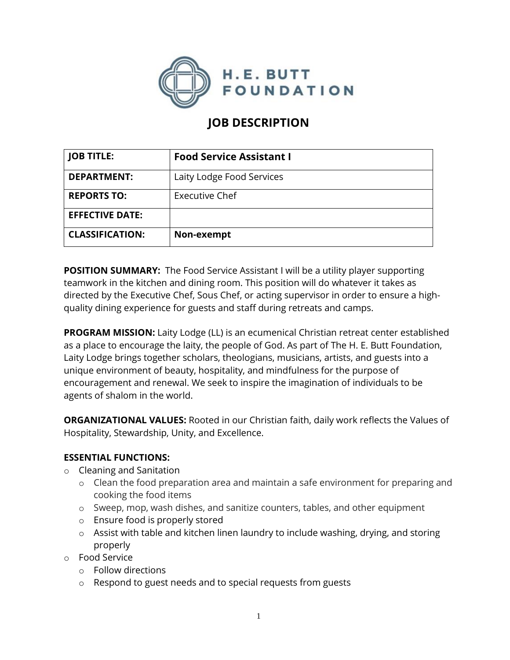

# **JOB DESCRIPTION**

| <b>JOB TITLE:</b>      | <b>Food Service Assistant I</b> |
|------------------------|---------------------------------|
| <b>DEPARTMENT:</b>     | Laity Lodge Food Services       |
| <b>REPORTS TO:</b>     | Executive Chef                  |
| <b>EFFECTIVE DATE:</b> |                                 |
| <b>CLASSIFICATION:</b> | Non-exempt                      |

**POSITION SUMMARY:** The Food Service Assistant I will be a utility player supporting teamwork in the kitchen and dining room. This position will do whatever it takes as directed by the Executive Chef, Sous Chef, or acting supervisor in order to ensure a highquality dining experience for guests and staff during retreats and camps.

**PROGRAM MISSION:** Laity Lodge (LL) is an ecumenical Christian retreat center established as a place to encourage the laity, the people of God. As part of The H. E. Butt Foundation, Laity Lodge brings together scholars, theologians, musicians, artists, and guests into a unique environment of beauty, hospitality, and mindfulness for the purpose of encouragement and renewal. We seek to inspire the imagination of individuals to be agents of shalom in the world.

**ORGANIZATIONAL VALUES:** Rooted in our Christian faith, daily work reflects the Values of Hospitality, Stewardship, Unity, and Excellence.

#### **ESSENTIAL FUNCTIONS:**

- o Cleaning and Sanitation
	- o Clean the food preparation area and maintain a safe environment for preparing and cooking the food items
	- o Sweep, mop, wash dishes, and sanitize counters, tables, and other equipment
	- o Ensure food is properly stored
	- o Assist with table and kitchen linen laundry to include washing, drying, and storing properly
- o Food Service
	- o Follow directions
	- o Respond to guest needs and to special requests from guests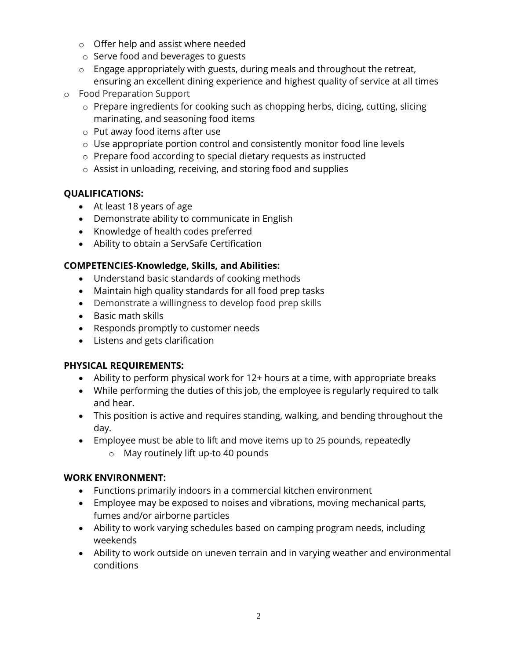- o Offer help and assist where needed
- o Serve food and beverages to guests
- o Engage appropriately with guests, during meals and throughout the retreat, ensuring an excellent dining experience and highest quality of service at all times
- o Food Preparation Support
	- o Prepare ingredients for cooking such as chopping herbs, dicing, cutting, slicing marinating, and seasoning food items
	- o Put away food items after use
	- o Use appropriate portion control and consistently monitor food line levels
	- o Prepare food according to special dietary requests as instructed
	- o Assist in unloading, receiving, and storing food and supplies

## **QUALIFICATIONS:**

- At least 18 years of age
- Demonstrate ability to communicate in English
- Knowledge of health codes preferred
- Ability to obtain a ServSafe Certification

## **COMPETENCIES-Knowledge, Skills, and Abilities:**

- Understand basic standards of cooking methods
- Maintain high quality standards for all food prep tasks
- Demonstrate a willingness to develop food prep skills
- Basic math skills
- Responds promptly to customer needs
- Listens and gets clarification

#### **PHYSICAL REQUIREMENTS:**

- Ability to perform physical work for 12+ hours at a time, with appropriate breaks
- While performing the duties of this job, the employee is regularly required to talk and hear.
- This position is active and requires standing, walking, and bending throughout the day.
- Employee must be able to lift and move items up to 25 pounds, repeatedly o May routinely lift up-to 40 pounds

## **WORK ENVIRONMENT:**

- Functions primarily indoors in a commercial kitchen environment
- Employee may be exposed to noises and vibrations, moving mechanical parts, fumes and/or airborne particles
- Ability to work varying schedules based on camping program needs, including weekends
- Ability to work outside on uneven terrain and in varying weather and environmental conditions